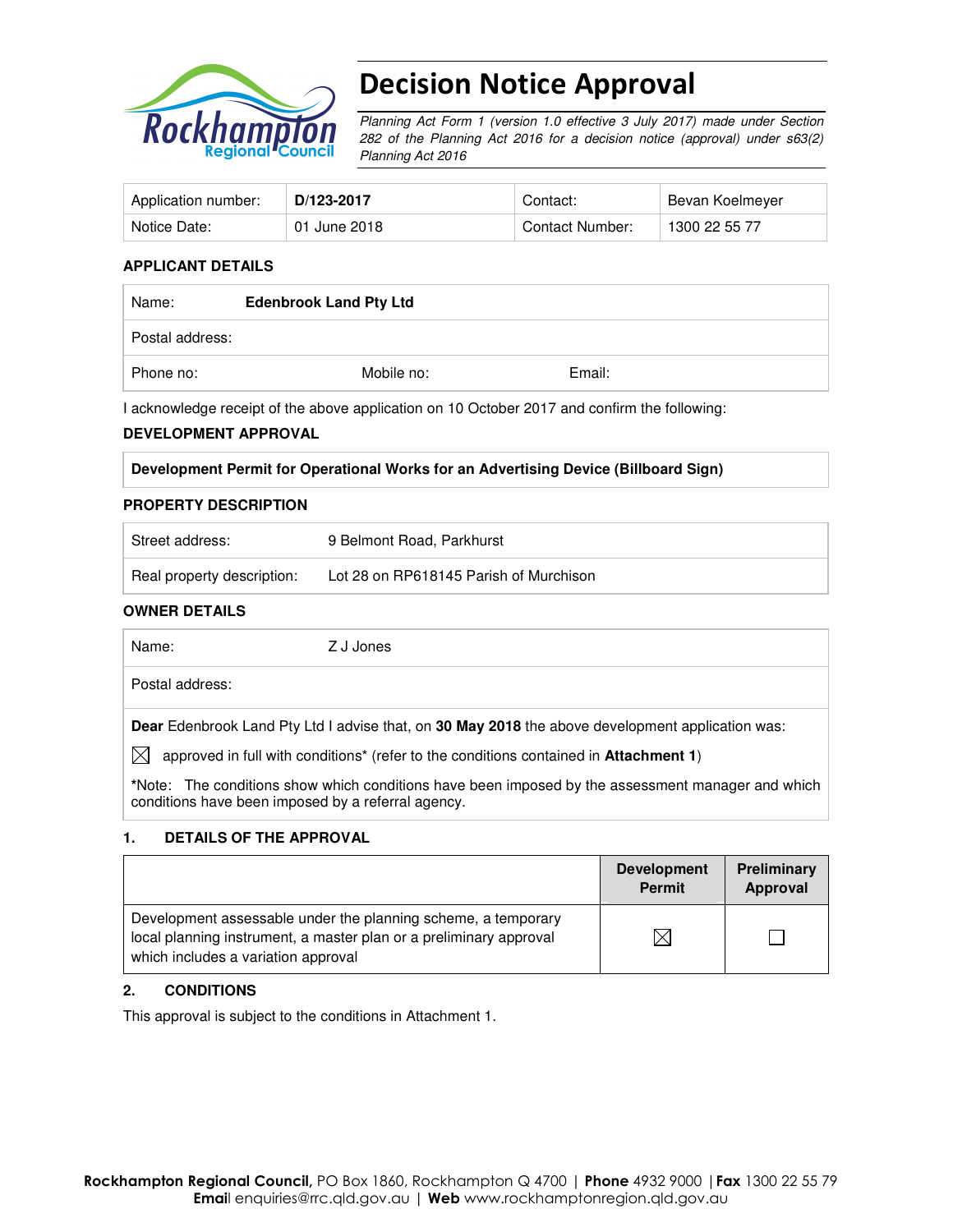

# Decision Notice Approval

Planning Act Form 1 (version 1.0 effective 3 July 2017) made under Section 282 of the Planning Act 2016 for a decision notice (approval) under s63(2) Planning Act 2016

| Application number: | D/123-2017   | Contact:        | Bevan Koelmeyer |
|---------------------|--------------|-----------------|-----------------|
| Notice Date:        | 01 June 2018 | Contact Number: | 1300 22 55 77   |

#### **APPLICANT DETAILS**

| Name:           | <b>Edenbrook Land Pty Ltd</b> |        |  |
|-----------------|-------------------------------|--------|--|
| Postal address: |                               |        |  |
| Phone no:       | Mobile no:                    | Email: |  |

I acknowledge receipt of the above application on 10 October 2017 and confirm the following:

#### **DEVELOPMENT APPROVAL**

#### **Development Permit for Operational Works for an Advertising Device (Billboard Sign)**

#### **PROPERTY DESCRIPTION**

| Street address:            | 9 Belmont Road, Parkhurst              |
|----------------------------|----------------------------------------|
| Real property description: | Lot 28 on RP618145 Parish of Murchison |

#### **OWNER DETAILS**

Name: Z J Jones

Postal address:

**Dear** Edenbrook Land Pty Ltd I advise that, on **30 May 2018** the above development application was:

 $\boxtimes$  approved in full with conditions<sup>\*</sup> (refer to the conditions contained in Attachment 1)

**\***Note:The conditions show which conditions have been imposed by the assessment manager and which conditions have been imposed by a referral agency.

### **1. DETAILS OF THE APPROVAL**

|                                                                                                                                                                            | <b>Development</b><br><b>Permit</b> | Preliminary<br>Approval |
|----------------------------------------------------------------------------------------------------------------------------------------------------------------------------|-------------------------------------|-------------------------|
| Development assessable under the planning scheme, a temporary<br>local planning instrument, a master plan or a preliminary approval<br>which includes a variation approval |                                     |                         |

### **2. CONDITIONS**

This approval is subject to the conditions in Attachment 1.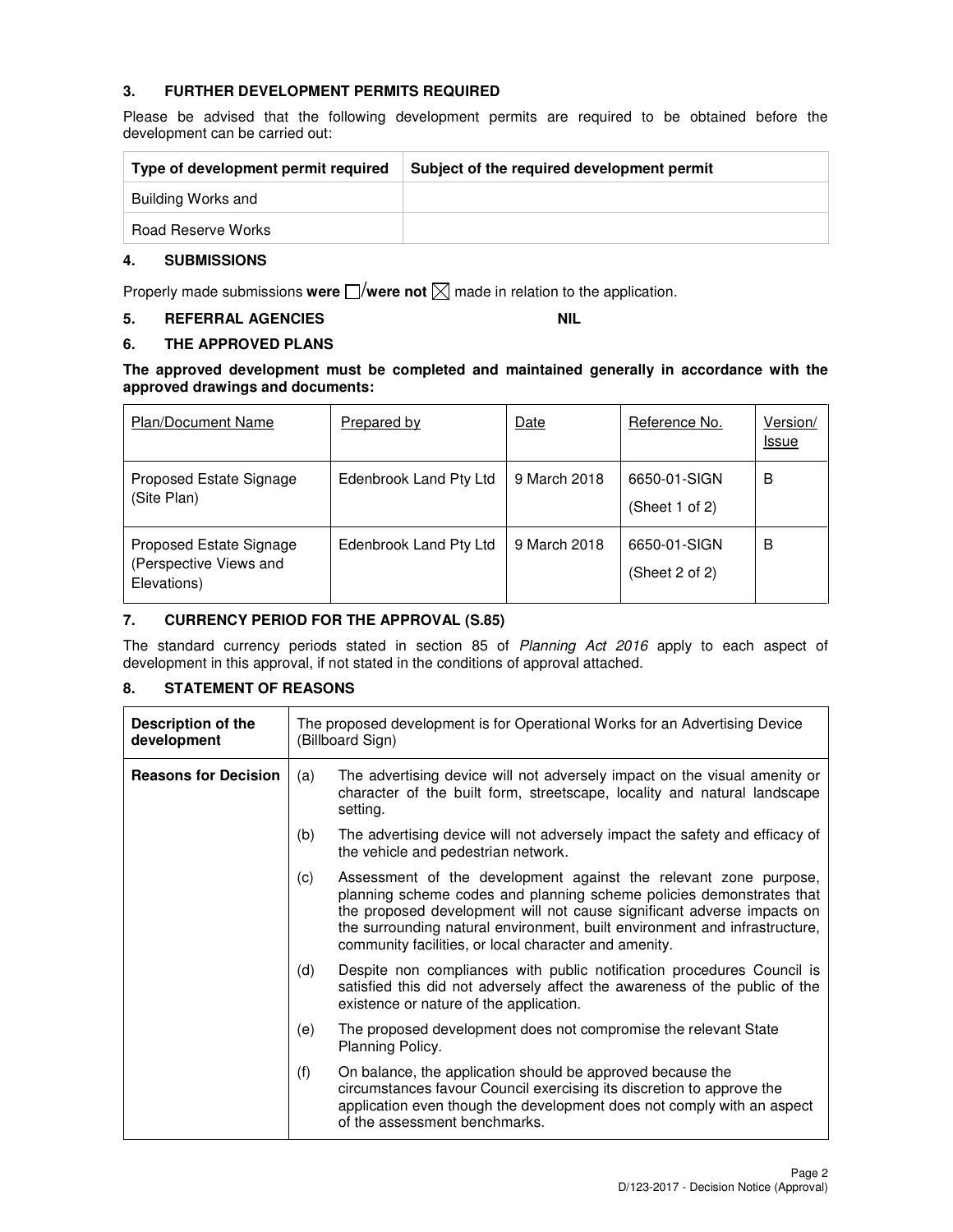## **3. FURTHER DEVELOPMENT PERMITS REQUIRED**

Please be advised that the following development permits are required to be obtained before the development can be carried out:

| Type of development permit required | Subject of the required development permit |
|-------------------------------------|--------------------------------------------|
| Building Works and                  |                                            |
| Road Reserve Works                  |                                            |

### **4. SUBMISSIONS**

Properly made submissions were  $\square$ /were not  $\square$  made in relation to the application.

## **5. REFERRAL AGENCIES NIL**

### **6. THE APPROVED PLANS**

#### **The approved development must be completed and maintained generally in accordance with the approved drawings and documents:**

| <b>Plan/Document Name</b>                                        | Prepared by            | Date         | Reference No.                  | Version/<br><u>Issue</u> |
|------------------------------------------------------------------|------------------------|--------------|--------------------------------|--------------------------|
| Proposed Estate Signage<br>(Site Plan)                           | Edenbrook Land Pty Ltd | 9 March 2018 | 6650-01-SIGN<br>(Sheet 1 of 2) | в                        |
| Proposed Estate Signage<br>(Perspective Views and<br>Elevations) | Edenbrook Land Pty Ltd | 9 March 2018 | 6650-01-SIGN<br>(Sheet 2 of 2) | в                        |

### **7. CURRENCY PERIOD FOR THE APPROVAL (S.85)**

The standard currency periods stated in section 85 of Planning Act 2016 apply to each aspect of development in this approval, if not stated in the conditions of approval attached.

### **8. STATEMENT OF REASONS**

| Description of the<br>development |     | The proposed development is for Operational Works for an Advertising Device<br>(Billboard Sign)                                                                                                                                                                                                                                                           |
|-----------------------------------|-----|-----------------------------------------------------------------------------------------------------------------------------------------------------------------------------------------------------------------------------------------------------------------------------------------------------------------------------------------------------------|
| <b>Reasons for Decision</b>       | (a) | The advertising device will not adversely impact on the visual amenity or<br>character of the built form, streetscape, locality and natural landscape<br>setting.                                                                                                                                                                                         |
|                                   | (b) | The advertising device will not adversely impact the safety and efficacy of<br>the vehicle and pedestrian network.                                                                                                                                                                                                                                        |
|                                   | (c) | Assessment of the development against the relevant zone purpose,<br>planning scheme codes and planning scheme policies demonstrates that<br>the proposed development will not cause significant adverse impacts on<br>the surrounding natural environment, built environment and infrastructure,<br>community facilities, or local character and amenity. |
|                                   | (d) | Despite non compliances with public notification procedures Council is<br>satisfied this did not adversely affect the awareness of the public of the<br>existence or nature of the application.                                                                                                                                                           |
|                                   | (e) | The proposed development does not compromise the relevant State<br>Planning Policy.                                                                                                                                                                                                                                                                       |
|                                   | (f) | On balance, the application should be approved because the<br>circumstances favour Council exercising its discretion to approve the<br>application even though the development does not comply with an aspect<br>of the assessment benchmarks.                                                                                                            |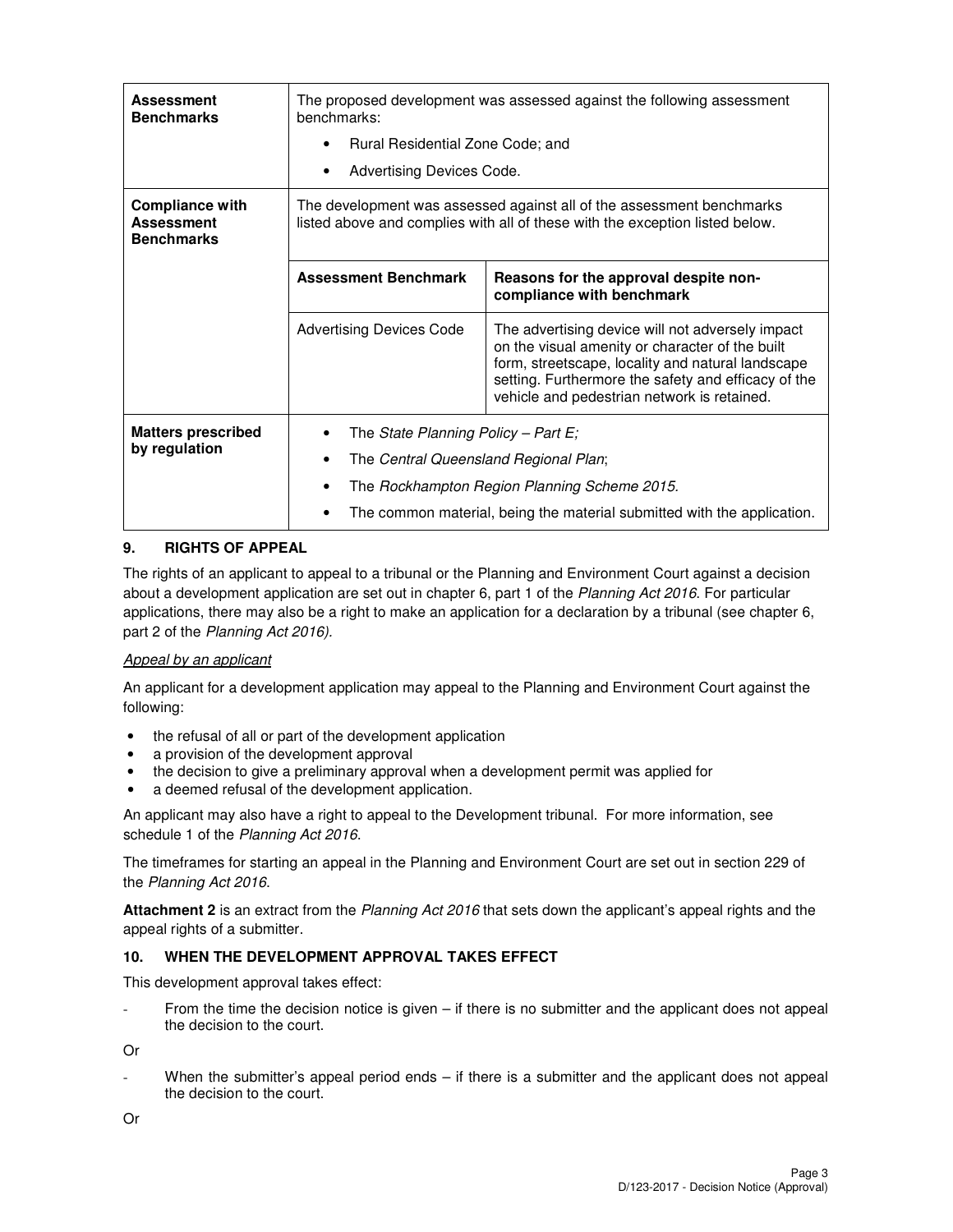| <b>Assessment</b><br><b>Benchmarks</b>                           | The proposed development was assessed against the following assessment<br>benchmarks:<br>Rural Residential Zone Code; and<br>$\bullet$<br>Advertising Devices Code. |                                                                                                                                                                                                                                                                |  |  |
|------------------------------------------------------------------|---------------------------------------------------------------------------------------------------------------------------------------------------------------------|----------------------------------------------------------------------------------------------------------------------------------------------------------------------------------------------------------------------------------------------------------------|--|--|
| <b>Compliance with</b><br><b>Assessment</b><br><b>Benchmarks</b> | The development was assessed against all of the assessment benchmarks<br>listed above and complies with all of these with the exception listed below.               |                                                                                                                                                                                                                                                                |  |  |
|                                                                  | <b>Assessment Benchmark</b>                                                                                                                                         | Reasons for the approval despite non-<br>compliance with benchmark                                                                                                                                                                                             |  |  |
|                                                                  | <b>Advertising Devices Code</b>                                                                                                                                     | The advertising device will not adversely impact<br>on the visual amenity or character of the built<br>form, streetscape, locality and natural landscape<br>setting. Furthermore the safety and efficacy of the<br>vehicle and pedestrian network is retained. |  |  |
| <b>Matters prescribed</b><br>by regulation                       |                                                                                                                                                                     | The State Planning Policy - Part $E_i$<br>The Central Queensland Regional Plan;<br>The Rockhampton Region Planning Scheme 2015.<br>The common material, being the material submitted with the application.                                                     |  |  |

## **9. RIGHTS OF APPEAL**

The rights of an applicant to appeal to a tribunal or the Planning and Environment Court against a decision about a development application are set out in chapter 6, part 1 of the Planning Act 2016. For particular applications, there may also be a right to make an application for a declaration by a tribunal (see chapter 6, part 2 of the Planning Act 2016).

### Appeal by an applicant

An applicant for a development application may appeal to the Planning and Environment Court against the following:

- the refusal of all or part of the development application
- a provision of the development approval
- the decision to give a preliminary approval when a development permit was applied for
- a deemed refusal of the development application.

An applicant may also have a right to appeal to the Development tribunal. For more information, see schedule 1 of the Planning Act 2016.

The timeframes for starting an appeal in the Planning and Environment Court are set out in section 229 of the Planning Act 2016.

**Attachment 2** is an extract from the Planning Act 2016 that sets down the applicant's appeal rights and the appeal rights of a submitter.

### **10. WHEN THE DEVELOPMENT APPROVAL TAKES EFFECT**

This development approval takes effect:

From the time the decision notice is given  $-$  if there is no submitter and the applicant does not appeal the decision to the court.

Or

When the submitter's appeal period ends  $-$  if there is a submitter and the applicant does not appeal the decision to the court.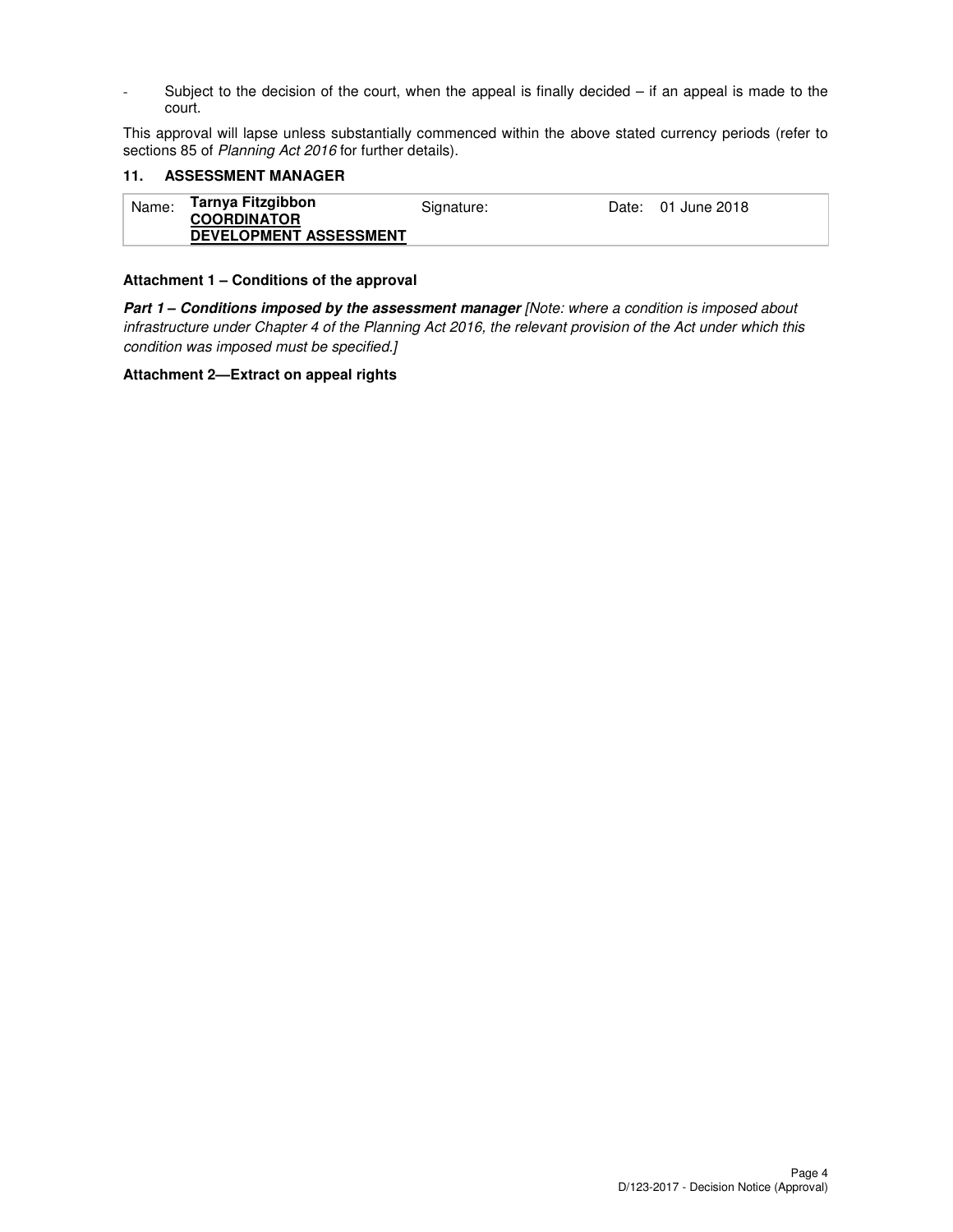- Subject to the decision of the court, when the appeal is finally decided – if an appeal is made to the court.

This approval will lapse unless substantially commenced within the above stated currency periods (refer to sections 85 of Planning Act 2016 for further details).

#### **11. ASSESSMENT MANAGER**

| Name: | Tarnya Fitzgibbon<br><b>COORDINATOR</b> | Signature: | Date: 01 June 2018 |
|-------|-----------------------------------------|------------|--------------------|
|       | <b>DEVELOPMENT ASSESSMENT</b>           |            |                    |

#### **Attachment 1 – Conditions of the approval**

Part 1 - Conditions imposed by the assessment manager [Note: where a condition is imposed about infrastructure under Chapter 4 of the Planning Act 2016, the relevant provision of the Act under which this condition was imposed must be specified.]

#### **Attachment 2—Extract on appeal rights**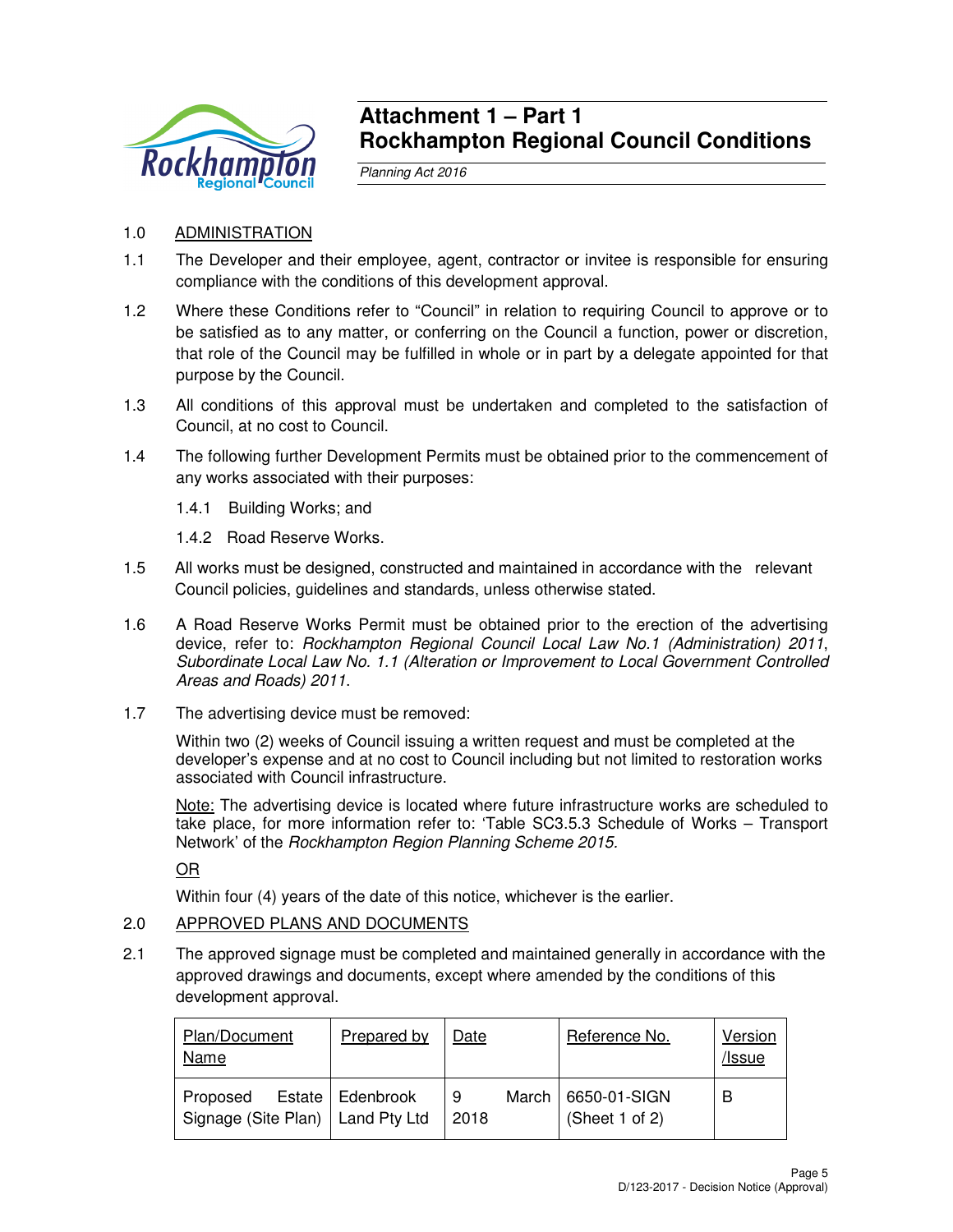

## **Attachment 1 – Part 1 Rockhampton Regional Council Conditions**

Planning Act 2016

- 1.0 ADMINISTRATION
- 1.1 The Developer and their employee, agent, contractor or invitee is responsible for ensuring compliance with the conditions of this development approval.
- 1.2 Where these Conditions refer to "Council" in relation to requiring Council to approve or to be satisfied as to any matter, or conferring on the Council a function, power or discretion, that role of the Council may be fulfilled in whole or in part by a delegate appointed for that purpose by the Council.
- 1.3 All conditions of this approval must be undertaken and completed to the satisfaction of Council, at no cost to Council.
- 1.4 The following further Development Permits must be obtained prior to the commencement of any works associated with their purposes:
	- 1.4.1 Building Works; and
	- 1.4.2 Road Reserve Works.
- 1.5 All works must be designed, constructed and maintained in accordance with the relevant Council policies, guidelines and standards, unless otherwise stated.
- 1.6 A Road Reserve Works Permit must be obtained prior to the erection of the advertising device, refer to: Rockhampton Regional Council Local Law No.1 (Administration) 2011, Subordinate Local Law No. 1.1 (Alteration or Improvement to Local Government Controlled Areas and Roads) 2011.
- 1.7 The advertising device must be removed:

Within two (2) weeks of Council issuing a written request and must be completed at the developer's expense and at no cost to Council including but not limited to restoration works associated with Council infrastructure.

Note: The advertising device is located where future infrastructure works are scheduled to take place, for more information refer to: 'Table SC3.5.3 Schedule of Works – Transport Network' of the Rockhampton Region Planning Scheme 2015.

OR

Within four (4) years of the date of this notice, whichever is the earlier.

## 2.0 APPROVED PLANS AND DOCUMENTS

2.1 The approved signage must be completed and maintained generally in accordance with the approved drawings and documents, except where amended by the conditions of this development approval.

| Plan/Document<br>Name                          | Prepared by        | Date      |       | Reference No.                  | Version<br>/Issue |
|------------------------------------------------|--------------------|-----------|-------|--------------------------------|-------------------|
| Proposed<br>Signage (Site Plan)   Land Pty Ltd | Estate   Edenbrook | 9<br>2018 | March | 6650-01-SIGN<br>(Sheet 1 of 2) | В                 |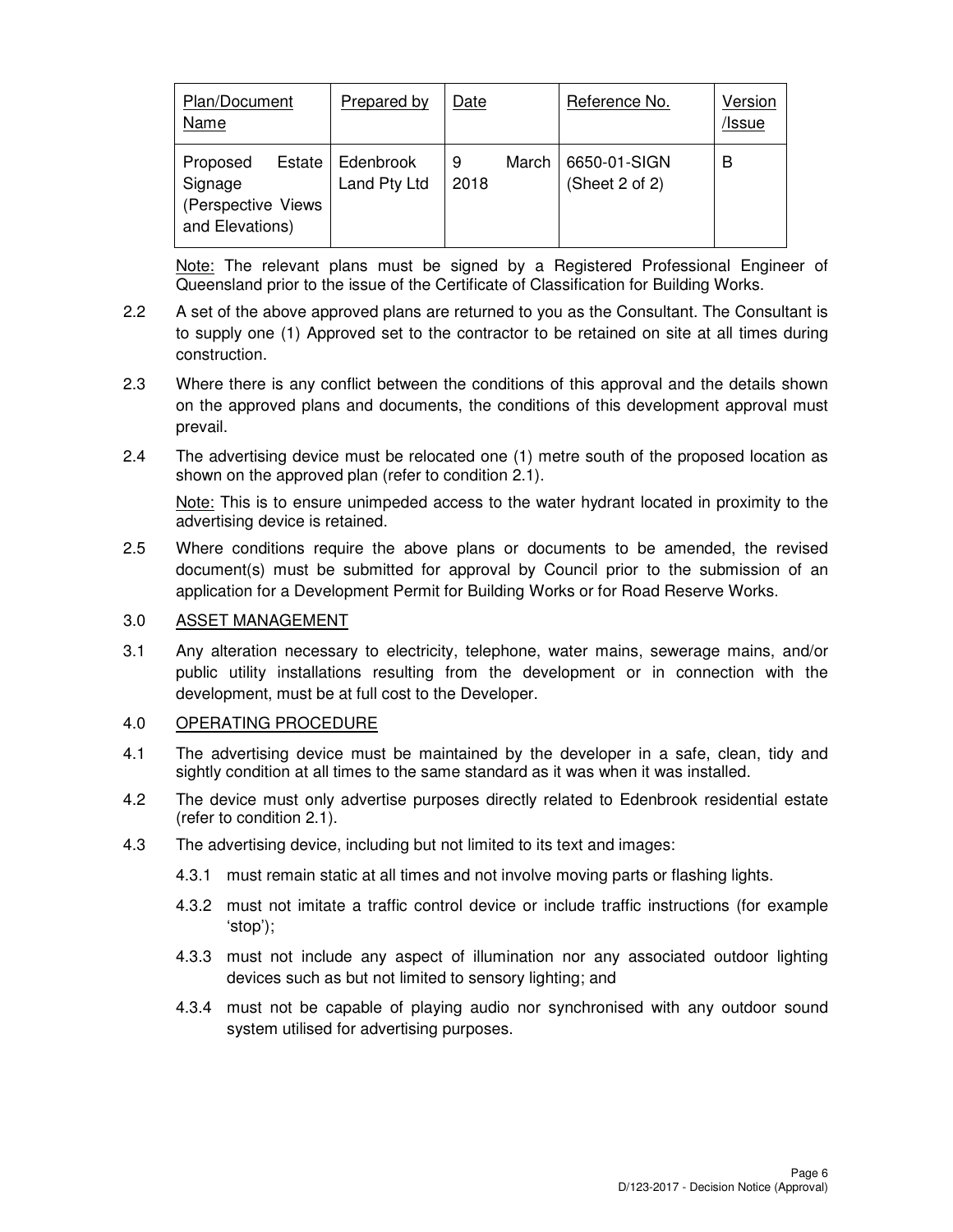| Plan/Document<br>Name                                                   | Prepared by               | Date      |       | Reference No.                  | Version<br>/Issue |
|-------------------------------------------------------------------------|---------------------------|-----------|-------|--------------------------------|-------------------|
| Estate<br>Proposed<br>Signage<br>(Perspective Views)<br>and Elevations) | Edenbrook<br>Land Pty Ltd | 9<br>2018 | March | 6650-01-SIGN<br>(Sheet 2 of 2) | В                 |

Note: The relevant plans must be signed by a Registered Professional Engineer of Queensland prior to the issue of the Certificate of Classification for Building Works.

- 2.2 A set of the above approved plans are returned to you as the Consultant. The Consultant is to supply one (1) Approved set to the contractor to be retained on site at all times during construction.
- 2.3 Where there is any conflict between the conditions of this approval and the details shown on the approved plans and documents, the conditions of this development approval must prevail.
- 2.4 The advertising device must be relocated one (1) metre south of the proposed location as shown on the approved plan (refer to condition 2.1).

Note: This is to ensure unimpeded access to the water hydrant located in proximity to the advertising device is retained.

2.5 Where conditions require the above plans or documents to be amended, the revised document(s) must be submitted for approval by Council prior to the submission of an application for a Development Permit for Building Works or for Road Reserve Works.

## 3.0 ASSET MANAGEMENT

3.1 Any alteration necessary to electricity, telephone, water mains, sewerage mains, and/or public utility installations resulting from the development or in connection with the development, must be at full cost to the Developer.

## 4.0 OPERATING PROCEDURE

- 4.1 The advertising device must be maintained by the developer in a safe, clean, tidy and sightly condition at all times to the same standard as it was when it was installed.
- 4.2 The device must only advertise purposes directly related to Edenbrook residential estate (refer to condition 2.1).
- 4.3 The advertising device, including but not limited to its text and images:
	- 4.3.1 must remain static at all times and not involve moving parts or flashing lights.
	- 4.3.2 must not imitate a traffic control device or include traffic instructions (for example 'stop');
	- 4.3.3 must not include any aspect of illumination nor any associated outdoor lighting devices such as but not limited to sensory lighting; and
	- 4.3.4 must not be capable of playing audio nor synchronised with any outdoor sound system utilised for advertising purposes.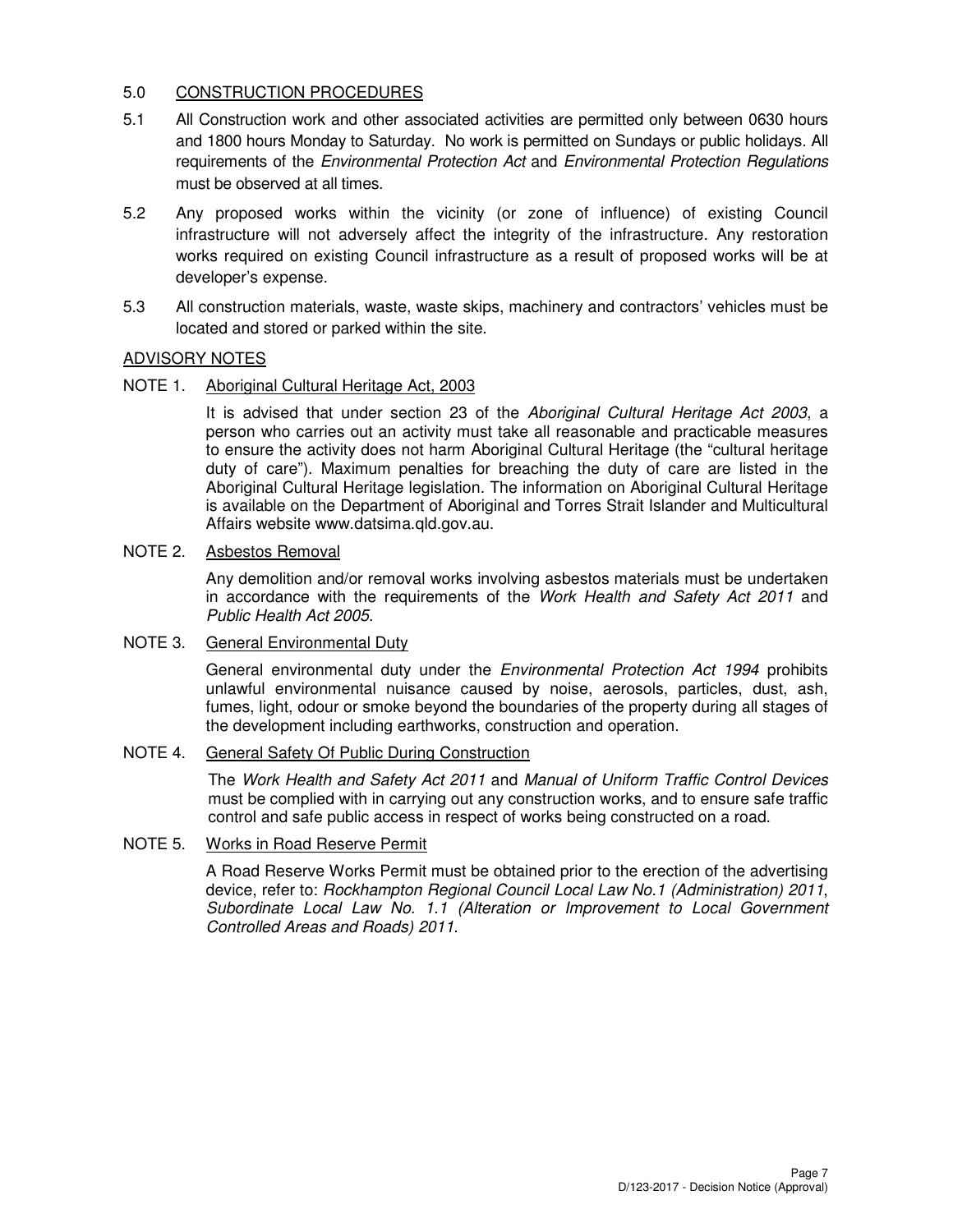## 5.0 CONSTRUCTION PROCEDURES

- 5.1 All Construction work and other associated activities are permitted only between 0630 hours and 1800 hours Monday to Saturday. No work is permitted on Sundays or public holidays. All requirements of the Environmental Protection Act and Environmental Protection Regulations must be observed at all times.
- 5.2 Any proposed works within the vicinity (or zone of influence) of existing Council infrastructure will not adversely affect the integrity of the infrastructure. Any restoration works required on existing Council infrastructure as a result of proposed works will be at developer's expense.
- 5.3 All construction materials, waste, waste skips, machinery and contractors' vehicles must be located and stored or parked within the site.

## ADVISORY NOTES

## NOTE 1. Aboriginal Cultural Heritage Act, 2003

It is advised that under section 23 of the Aboriginal Cultural Heritage Act 2003, a person who carries out an activity must take all reasonable and practicable measures to ensure the activity does not harm Aboriginal Cultural Heritage (the "cultural heritage duty of care"). Maximum penalties for breaching the duty of care are listed in the Aboriginal Cultural Heritage legislation. The information on Aboriginal Cultural Heritage is available on the Department of Aboriginal and Torres Strait Islander and Multicultural Affairs website www.datsima.qld.gov.au.

## NOTE 2. Asbestos Removal

Any demolition and/or removal works involving asbestos materials must be undertaken in accordance with the requirements of the Work Health and Safety Act 2011 and Public Health Act 2005.

### NOTE 3. General Environmental Duty

General environmental duty under the *Environmental Protection Act 1994* prohibits unlawful environmental nuisance caused by noise, aerosols, particles, dust, ash, fumes, light, odour or smoke beyond the boundaries of the property during all stages of the development including earthworks, construction and operation.

## NOTE 4. General Safety Of Public During Construction

The Work Health and Safety Act 2011 and Manual of Uniform Traffic Control Devices must be complied with in carrying out any construction works, and to ensure safe traffic control and safe public access in respect of works being constructed on a road.

### NOTE 5. Works in Road Reserve Permit

A Road Reserve Works Permit must be obtained prior to the erection of the advertising device, refer to: Rockhampton Regional Council Local Law No.1 (Administration) 2011, Subordinate Local Law No. 1.1 (Alteration or Improvement to Local Government Controlled Areas and Roads) 2011.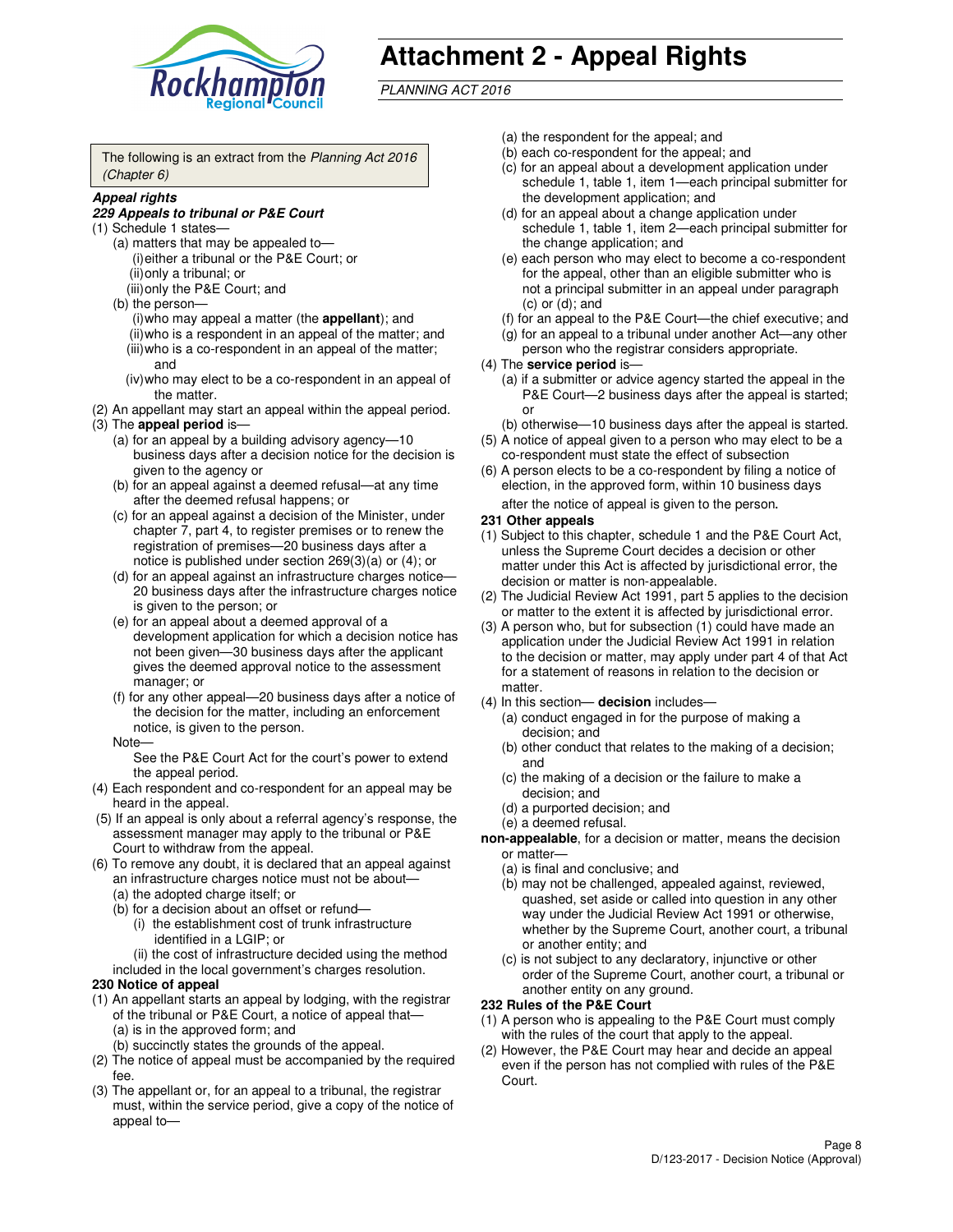

# **Attachment 2 - Appeal Rights**

PLANNING ACT 2016

The following is an extract from the Planning Act 2016 (Chapter 6)

#### **Appeal rights**

#### **229 Appeals to tribunal or P&E Court**

- (1) Schedule 1 states—
	- (a) matters that may be appealed to— (i) either a tribunal or the P&E Court; or (ii) only a tribunal; or (iii) only the P&E Court; and
	- (b) the person—
		- (i) who may appeal a matter (the **appellant**); and
		- (ii) who is a respondent in an appeal of the matter; and (iii) who is a co-respondent in an appeal of the matter; and
		- (iv) who may elect to be a co-respondent in an appeal of the matter.
- (2) An appellant may start an appeal within the appeal period.
- (3) The **appeal period** is—
	- (a) for an appeal by a building advisory agency—10 business days after a decision notice for the decision is given to the agency or
	- (b) for an appeal against a deemed refusal—at any time after the deemed refusal happens; or
	- (c) for an appeal against a decision of the Minister, under chapter 7, part 4, to register premises or to renew the registration of premises—20 business days after a notice is published under section 269(3)(a) or (4); or
	- (d) for an appeal against an infrastructure charges notice— 20 business days after the infrastructure charges notice is given to the person; or
	- (e) for an appeal about a deemed approval of a development application for which a decision notice has not been given—30 business days after the applicant gives the deemed approval notice to the assessment manager; or
	- (f) for any other appeal—20 business days after a notice of the decision for the matter, including an enforcement notice, is given to the person.
	- Note—

See the P&E Court Act for the court's power to extend the appeal period.

- (4) Each respondent and co-respondent for an appeal may be heard in the appeal.
- (5) If an appeal is only about a referral agency's response, the assessment manager may apply to the tribunal or P&E Court to withdraw from the appeal.
- (6) To remove any doubt, it is declared that an appeal against an infrastructure charges notice must not be about—
	- (a) the adopted charge itself; or
	- (b) for a decision about an offset or refund—
		- (i) the establishment cost of trunk infrastructure identified in a LGIP; or
		- (ii) the cost of infrastructure decided using the method
- included in the local government's charges resolution. **230 Notice of appeal**
- (1) An appellant starts an appeal by lodging, with the registrar of the tribunal or P&E Court, a notice of appeal that—
	- (a) is in the approved form; and
	- (b) succinctly states the grounds of the appeal.
- (2) The notice of appeal must be accompanied by the required fee.
- (3) The appellant or, for an appeal to a tribunal, the registrar must, within the service period, give a copy of the notice of appeal to—
- (a) the respondent for the appeal; and
- (b) each co-respondent for the appeal; and
- (c) for an appeal about a development application under schedule 1, table 1, item 1—each principal submitter for the development application; and
- (d) for an appeal about a change application under schedule 1, table 1, item 2—each principal submitter for the change application; and
- (e) each person who may elect to become a co-respondent for the appeal, other than an eligible submitter who is not a principal submitter in an appeal under paragraph  $(c)$  or  $(d)$ ; and
- (f) for an appeal to the P&E Court—the chief executive; and
- (g) for an appeal to a tribunal under another Act—any other person who the registrar considers appropriate.
- (4) The **service period** is—
	- (a) if a submitter or advice agency started the appeal in the P&E Court—2 business days after the appeal is started; or
	- (b) otherwise—10 business days after the appeal is started.
- (5) A notice of appeal given to a person who may elect to be a co-respondent must state the effect of subsection
- (6) A person elects to be a co-respondent by filing a notice of election, in the approved form, within 10 business days after the notice of appeal is given to the person*.*
- **231 Other appeals**
- (1) Subject to this chapter, schedule 1 and the P&E Court Act, unless the Supreme Court decides a decision or other matter under this Act is affected by jurisdictional error, the decision or matter is non-appealable.
- (2) The Judicial Review Act 1991, part 5 applies to the decision or matter to the extent it is affected by jurisdictional error.
- (3) A person who, but for subsection (1) could have made an application under the Judicial Review Act 1991 in relation to the decision or matter, may apply under part 4 of that Act for a statement of reasons in relation to the decision or matter.
- (4) In this section— **decision** includes—
	- (a) conduct engaged in for the purpose of making a decision; and
	- (b) other conduct that relates to the making of a decision; and
	- (c) the making of a decision or the failure to make a decision; and
	- (d) a purported decision; and
	- (e) a deemed refusal.

**non-appealable**, for a decision or matter, means the decision or matter—

- (a) is final and conclusive; and
- (b) may not be challenged, appealed against, reviewed, quashed, set aside or called into question in any other way under the Judicial Review Act 1991 or otherwise, whether by the Supreme Court, another court, a tribunal or another entity; and
- (c) is not subject to any declaratory, injunctive or other order of the Supreme Court, another court, a tribunal or another entity on any ground.

#### **232 Rules of the P&E Court**

- (1) A person who is appealing to the P&E Court must comply with the rules of the court that apply to the appeal.
- (2) However, the P&E Court may hear and decide an appeal even if the person has not complied with rules of the P&E Court.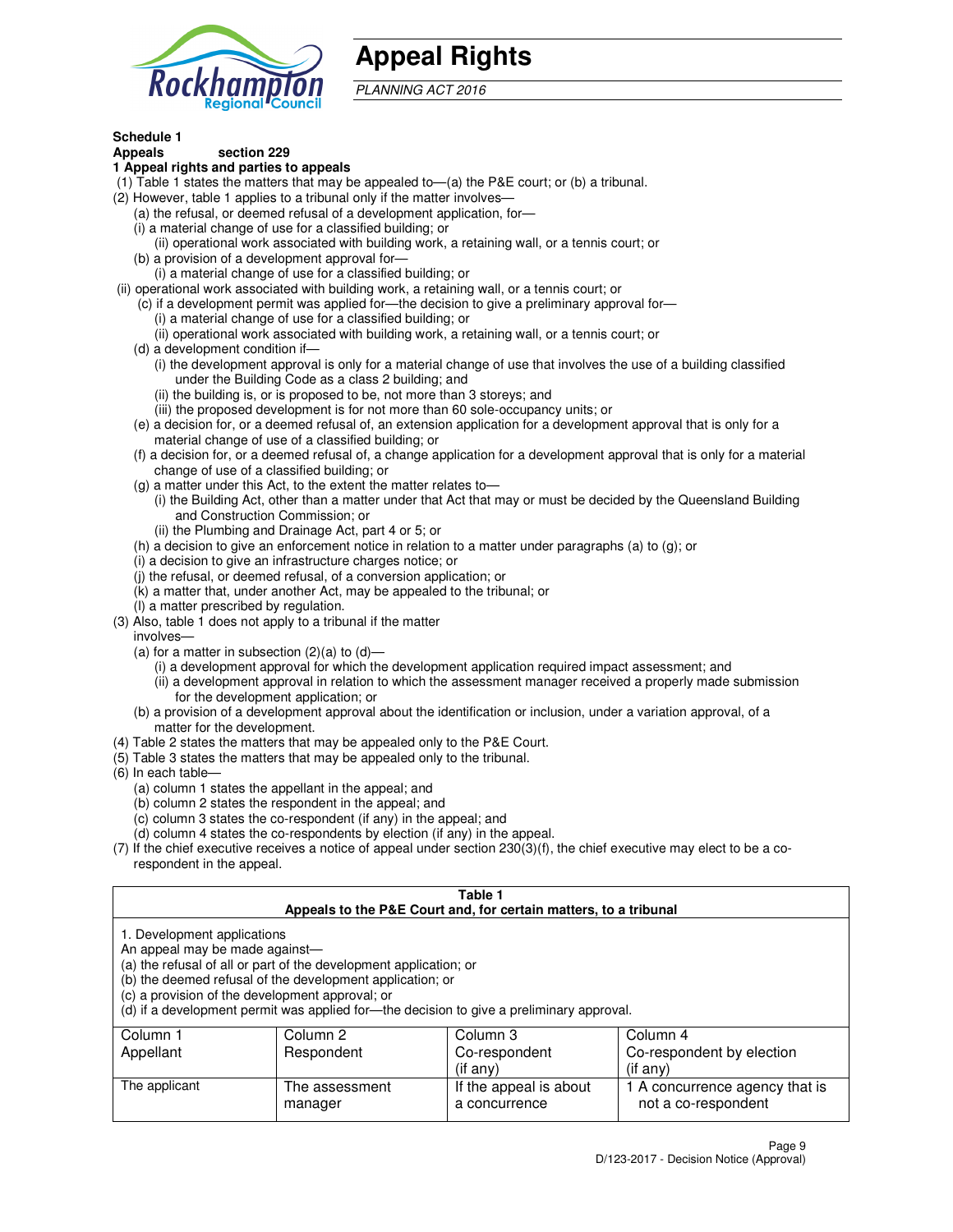

## **Appeal Rights**

PLANNING ACT 2016

## **Schedule 1**

## **Appeals section 229**

#### **1 Appeal rights and parties to appeals**

- (1) Table 1 states the matters that may be appealed to—(a) the P&E court; or (b) a tribunal.
- (2) However, table 1 applies to a tribunal only if the matter involves—
	- (a) the refusal, or deemed refusal of a development application, for—
	- (i) a material change of use for a classified building; or
	- (ii) operational work associated with building work, a retaining wall, or a tennis court; or
	- (b) a provision of a development approval for—
	- (i) a material change of use for a classified building; or
- (ii) operational work associated with building work, a retaining wall, or a tennis court; or
	- (c) if a development permit was applied for—the decision to give a preliminary approval for—
		- (i) a material change of use for a classified building; or
		- (ii) operational work associated with building work, a retaining wall, or a tennis court; or
	- (d) a development condition if—
		- (i) the development approval is only for a material change of use that involves the use of a building classified under the Building Code as a class 2 building; and
		- (ii) the building is, or is proposed to be, not more than 3 storeys; and
		- (iii) the proposed development is for not more than 60 sole-occupancy units; or
	- (e) a decision for, or a deemed refusal of, an extension application for a development approval that is only for a material change of use of a classified building; or
	- (f) a decision for, or a deemed refusal of, a change application for a development approval that is only for a material change of use of a classified building; or
	- (g) a matter under this Act, to the extent the matter relates to—
		- (i) the Building Act, other than a matter under that Act that may or must be decided by the Queensland Building and Construction Commission; or
		- (ii) the Plumbing and Drainage Act, part 4 or 5; or
	- (h) a decision to give an enforcement notice in relation to a matter under paragraphs (a) to (g); or
	- (i) a decision to give an infrastructure charges notice; or
	- (j) the refusal, or deemed refusal, of a conversion application; or
	- (k) a matter that, under another Act, may be appealed to the tribunal; or
	- (l) a matter prescribed by regulation.
- (3) Also, table 1 does not apply to a tribunal if the matter
	- involves—
	- (a) for a matter in subsection  $(2)(a)$  to  $(d)$ 
		- (i) a development approval for which the development application required impact assessment; and
		- (ii) a development approval in relation to which the assessment manager received a properly made submission for the development application; or
	- (b) a provision of a development approval about the identification or inclusion, under a variation approval, of a matter for the development.
- (4) Table 2 states the matters that may be appealed only to the P&E Court.
- (5) Table 3 states the matters that may be appealed only to the tribunal.
- (6) In each table—
	- (a) column 1 states the appellant in the appeal; and
	- (b) column 2 states the respondent in the appeal; and
	- (c) column 3 states the co-respondent (if any) in the appeal; and
	- (d) column 4 states the co-respondents by election (if any) in the appeal.
- $(7)$  If the chief executive receives a notice of appeal under section  $230(3)(f)$ , the chief executive may elect to be a corespondent in the appeal.

| Table 1<br>Appeals to the P&E Court and, for certain matters, to a tribunal                                      |                                                                                                                                                                                                                            |                        |                                |  |  |  |
|------------------------------------------------------------------------------------------------------------------|----------------------------------------------------------------------------------------------------------------------------------------------------------------------------------------------------------------------------|------------------------|--------------------------------|--|--|--|
| 1. Development applications<br>An appeal may be made against-<br>(c) a provision of the development approval; or | (a) the refusal of all or part of the development application; or<br>(b) the deemed refusal of the development application; or<br>(d) if a development permit was applied for—the decision to give a preliminary approval. |                        |                                |  |  |  |
| Column 1                                                                                                         | Column 2                                                                                                                                                                                                                   | Column 3               | Column 4                       |  |  |  |
| Appellant                                                                                                        | Co-respondent<br>Co-respondent by election<br>Respondent                                                                                                                                                                   |                        |                                |  |  |  |
| $($ if any $)$<br>$($ if any $)$                                                                                 |                                                                                                                                                                                                                            |                        |                                |  |  |  |
| The applicant                                                                                                    | The assessment                                                                                                                                                                                                             | If the appeal is about | 1 A concurrence agency that is |  |  |  |
| not a co-respondent<br>a concurrence<br>manager                                                                  |                                                                                                                                                                                                                            |                        |                                |  |  |  |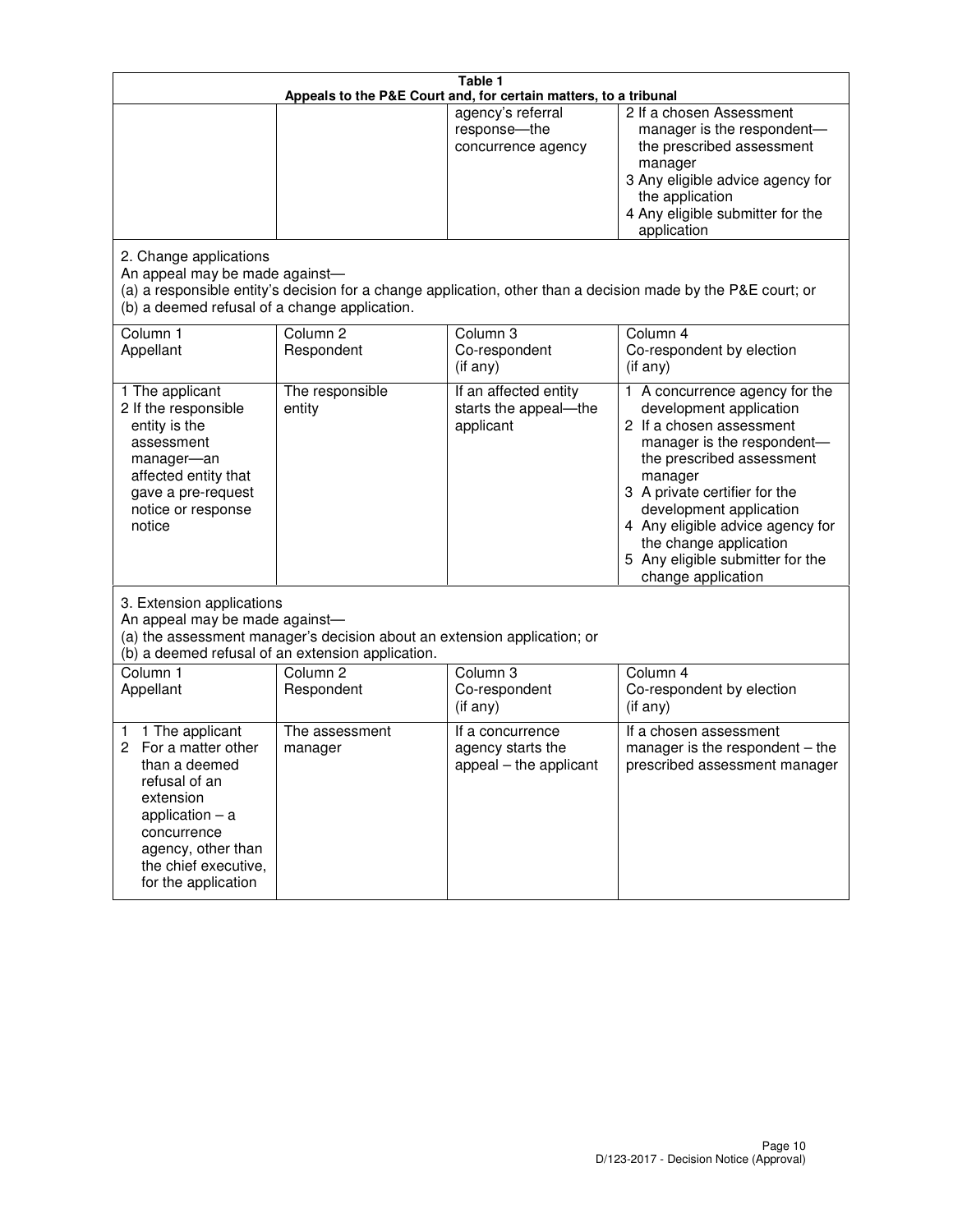| Table 1<br>Appeals to the P&E Court and, for certain matters, to a tribunal                                                                                                                             |                                   |                                                                 |                                                                                                                                                                                                                                                                                                                                                 |  |
|---------------------------------------------------------------------------------------------------------------------------------------------------------------------------------------------------------|-----------------------------------|-----------------------------------------------------------------|-------------------------------------------------------------------------------------------------------------------------------------------------------------------------------------------------------------------------------------------------------------------------------------------------------------------------------------------------|--|
|                                                                                                                                                                                                         |                                   | agency's referral<br>response-the<br>concurrence agency         | 2 If a chosen Assessment<br>manager is the respondent-<br>the prescribed assessment<br>manager<br>3 Any eligible advice agency for<br>the application<br>4 Any eligible submitter for the<br>application                                                                                                                                        |  |
| 2. Change applications<br>An appeal may be made against-<br>(b) a deemed refusal of a change application.                                                                                               |                                   |                                                                 | (a) a responsible entity's decision for a change application, other than a decision made by the P&E court; or                                                                                                                                                                                                                                   |  |
| Column 1<br>Appellant                                                                                                                                                                                   | Column <sub>2</sub><br>Respondent | Column <sub>3</sub><br>Co-respondent<br>(if any)                | Column 4<br>Co-respondent by election<br>(if any)                                                                                                                                                                                                                                                                                               |  |
| 1 The applicant<br>2 If the responsible<br>entity is the<br>assessment<br>manager-an<br>affected entity that<br>gave a pre-request<br>notice or response<br>notice                                      | The responsible<br>entity         | If an affected entity<br>starts the appeal-the<br>applicant     | 1 A concurrence agency for the<br>development application<br>2 If a chosen assessment<br>manager is the respondent-<br>the prescribed assessment<br>manager<br>3 A private certifier for the<br>development application<br>4 Any eligible advice agency for<br>the change application<br>5 Any eligible submitter for the<br>change application |  |
| 3. Extension applications<br>An appeal may be made against-<br>(a) the assessment manager's decision about an extension application; or<br>(b) a deemed refusal of an extension application.            |                                   |                                                                 |                                                                                                                                                                                                                                                                                                                                                 |  |
| Column 1<br>Appellant                                                                                                                                                                                   | Column <sub>2</sub><br>Respondent | Column <sub>3</sub><br>Co-respondent<br>(if any)                | Column 4<br>Co-respondent by election<br>(if any)                                                                                                                                                                                                                                                                                               |  |
| 1 The applicant<br>1<br>For a matter other<br>2<br>than a deemed<br>refusal of an<br>extension<br>application $-$ a<br>concurrence<br>agency, other than<br>the chief executive,<br>for the application | The assessment<br>manager         | If a concurrence<br>agency starts the<br>appeal - the applicant | If a chosen assessment<br>manager is the respondent $-$ the<br>prescribed assessment manager                                                                                                                                                                                                                                                    |  |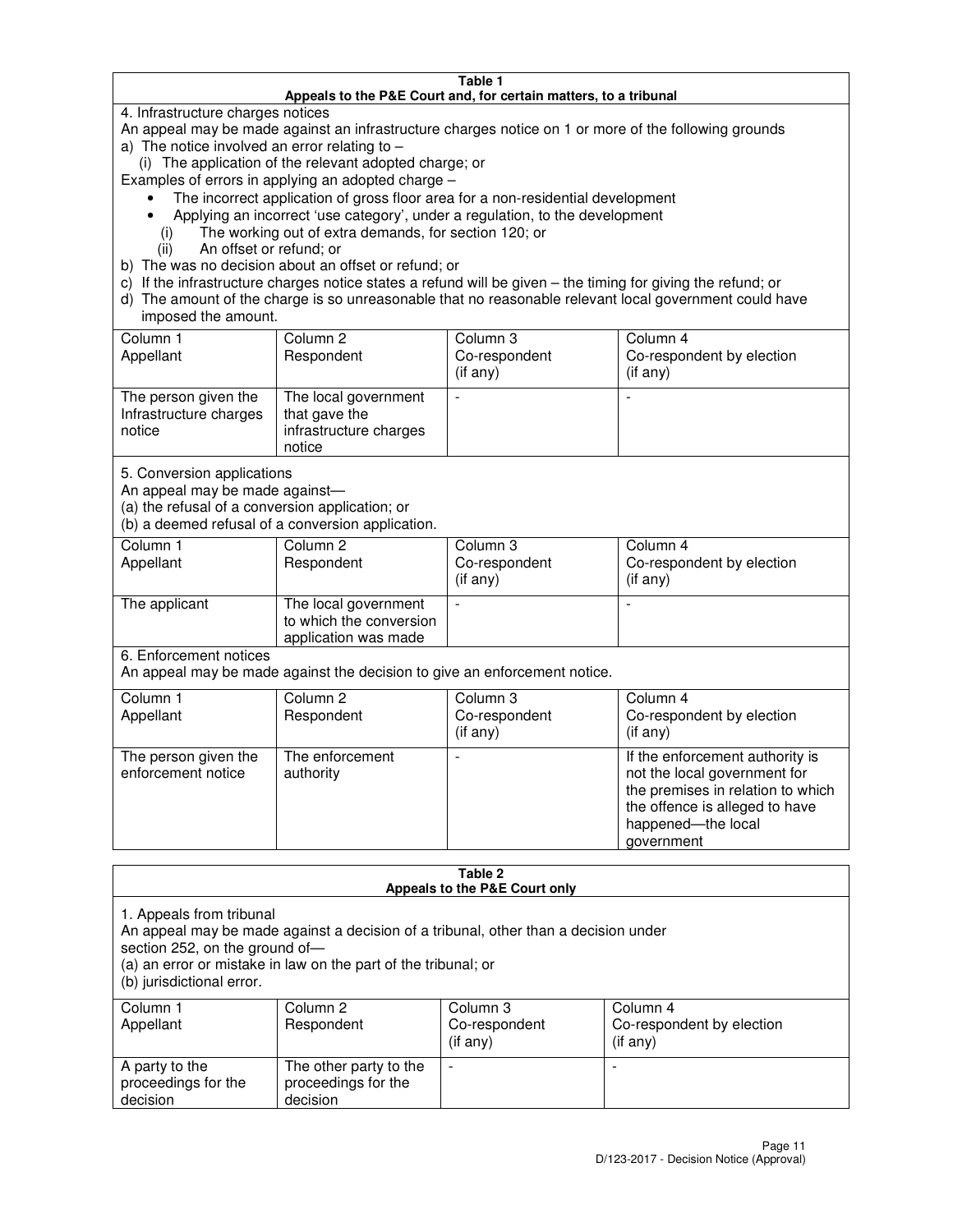#### **Table 1 Appeals to the P&E Court and, for certain matters, to a tribunal**

4. Infrastructure charges notices

An appeal may be made against an infrastructure charges notice on 1 or more of the following grounds

- a) The notice involved an error relating to
	- (i) The application of the relevant adopted charge; or
- Examples of errors in applying an adopted charge
	- The incorrect application of gross floor area for a non-residential development
	- Applying an incorrect 'use category', under a regulation, to the development
		- (i) The working out of extra demands, for section 120; or
		- (ii) An offset or refund; or
- b) The was no decision about an offset or refund; or
- c) If the infrastructure charges notice states a refund will be given the timing for giving the refund; or
- d) The amount of the charge is so unreasonable that no reasonable relevant local government could have imposed the amount.

| Column 1<br>Appellant                                    | Column 2<br>Respondent                                                    | Column 3<br>Co-respondent<br>$($ if any $)$ | Column 4<br>Co-respondent by election<br>$($ if any $)$ |
|----------------------------------------------------------|---------------------------------------------------------------------------|---------------------------------------------|---------------------------------------------------------|
| The person given the<br>Infrastructure charges<br>notice | The local government<br>that gave the<br>infrastructure charges<br>notice |                                             |                                                         |

5. Conversion applications

An appeal may be made against—

(a) the refusal of a conversion application; or

(b) a deemed refusal of a conversion application.

| Column 1<br>Appellant | Column 2<br>Respondent                                                  | Column 3<br>Co-respondent<br>$($ if any $)$ | Column 4<br>Co-respondent by election<br>$($ if any $)$ |
|-----------------------|-------------------------------------------------------------------------|---------------------------------------------|---------------------------------------------------------|
| The applicant         | The local government<br>to which the conversion<br>application was made |                                             |                                                         |

6. Enforcement notices

An appeal may be made against the decision to give an enforcement notice.

| Column 1<br>Appellant                      | Column 2<br>Respondent       | Column 3<br>Co-respondent<br>$($ if any $)$ | Column 4<br>Co-respondent by election<br>(if any)                                                                                                                          |
|--------------------------------------------|------------------------------|---------------------------------------------|----------------------------------------------------------------------------------------------------------------------------------------------------------------------------|
| The person given the<br>enforcement notice | The enforcement<br>authority |                                             | If the enforcement authority is<br>not the local government for<br>the premises in relation to which<br>the offence is alleged to have<br>happened-the local<br>government |

#### **Table 2 Appeals to the P&E Court only**

1. Appeals from tribunal

An appeal may be made against a decision of a tribunal, other than a decision under

section 252, on the ground of—

(a) an error or mistake in law on the part of the tribunal; or

(b) jurisdictional error.

| Column 1<br>Appellant                             | Column 2<br>Respondent                                    | Column 3<br>Co-respondent<br>$($ if any $)$ | Column 4<br>Co-respondent by election<br>(i f any) |
|---------------------------------------------------|-----------------------------------------------------------|---------------------------------------------|----------------------------------------------------|
| A party to the<br>proceedings for the<br>decision | The other party to the<br>proceedings for the<br>decision | -                                           |                                                    |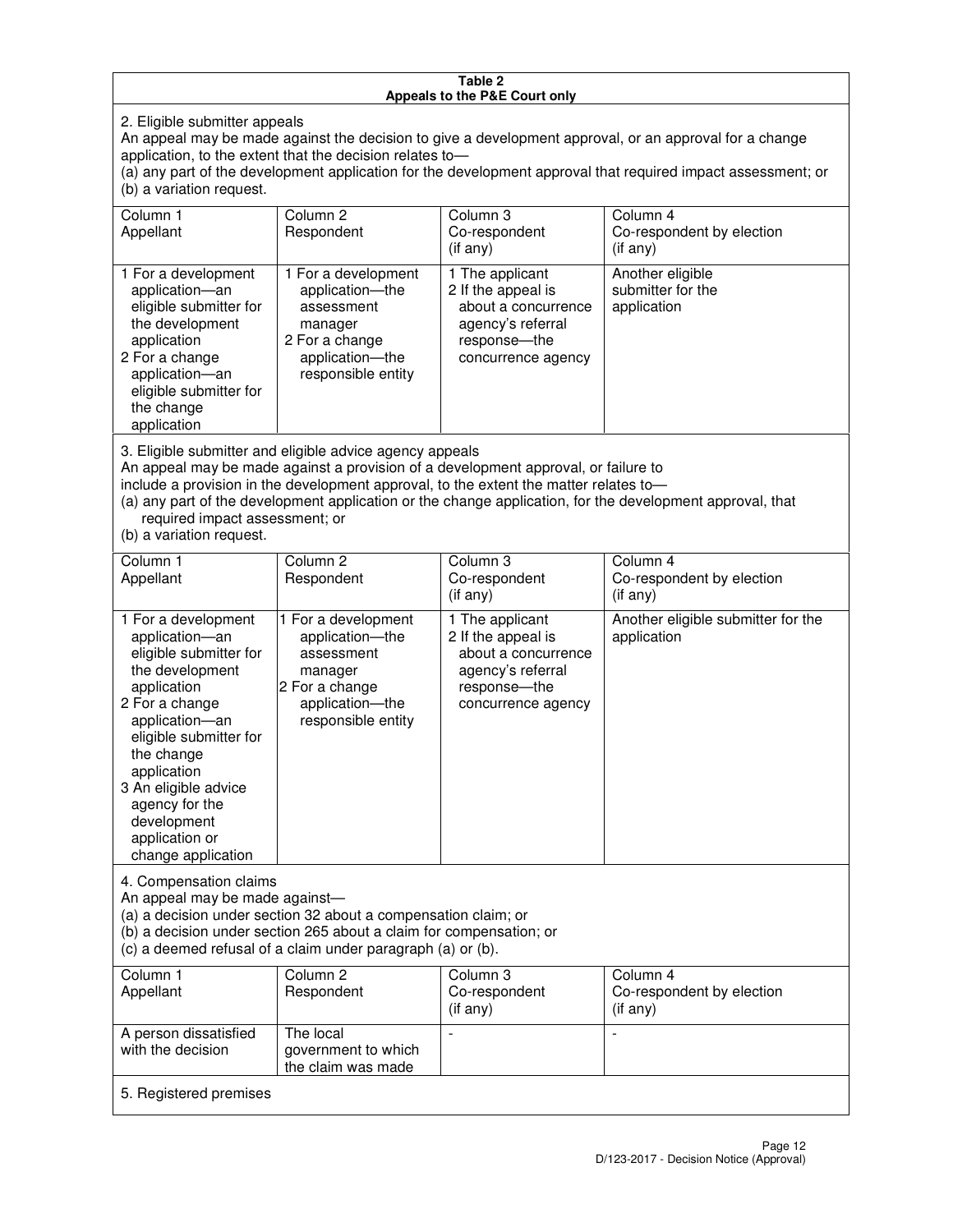#### **Table 2 Appeals to the P&E Court only**

2. Eligible submitter appeals

An appeal may be made against the decision to give a development approval, or an approval for a change application, to the extent that the decision relates to—

(a) any part of the development application for the development approval that required impact assessment; or (b) a variation request.

| Column 1<br>Appellant                                                                                                                                                                                                                                                                                                                                                                                              | Column 2<br>Respondent                                                                                                     | Column 3<br>Co-respondent<br>(if any)                                                                                     | Column 4<br>Co-respondent by election<br>$(if$ any)  |
|--------------------------------------------------------------------------------------------------------------------------------------------------------------------------------------------------------------------------------------------------------------------------------------------------------------------------------------------------------------------------------------------------------------------|----------------------------------------------------------------------------------------------------------------------------|---------------------------------------------------------------------------------------------------------------------------|------------------------------------------------------|
| 1 For a development<br>application-an<br>eligible submitter for<br>the development<br>application<br>2 For a change<br>application-an<br>eligible submitter for<br>the change<br>application                                                                                                                                                                                                                       | 1 For a development<br>application-the<br>assessment<br>manager<br>2 For a change<br>application-the<br>responsible entity | 1 The applicant<br>2 If the appeal is<br>about a concurrence<br>agency's referral<br>response---the<br>concurrence agency | Another eligible<br>submitter for the<br>application |
| 3. Eligible submitter and eligible advice agency appeals<br>An appeal may be made against a provision of a development approval, or failure to<br>include a provision in the development approval, to the extent the matter relates to-<br>(a) any part of the development application or the change application, for the development approval, that<br>required impact assessment; or<br>(b) a variation request. |                                                                                                                            |                                                                                                                           |                                                      |
| Column 1                                                                                                                                                                                                                                                                                                                                                                                                           | Column <sub>2</sub>                                                                                                        | Column 3                                                                                                                  | Column 4                                             |
| Appellant                                                                                                                                                                                                                                                                                                                                                                                                          | Respondent                                                                                                                 | Co-respondent<br>(if any)                                                                                                 | Co-respondent by election<br>(if any)                |
| 1 For a development<br>application-an<br>eligible submitter for                                                                                                                                                                                                                                                                                                                                                    | 1 For a development<br>application-the<br>assessment                                                                       | 1 The applicant<br>2 If the appeal is<br>about a concurrence                                                              | Another eligible submitter for the<br>application    |

agency's referral response—the concurrence agency

change application 4. Compensation claims

the development application 2 For a change application—an eligible submitter for

the change application 3 An eligible advice agency for the development application or

An appeal may be made against—

(a) a decision under section 32 about a compensation claim; or

manager 2 For a change application—the responsible entity

(b) a decision under section 265 about a claim for compensation; or

(c) a deemed refusal of a claim under paragraph (a) or (b).

| Column 1<br>Appellant                      | Column 2<br>Respondent                                 | Column 3<br>Co-respondent<br>(if any) | Column 4<br>Co-respondent by election<br>$($ if any $)$ |  |
|--------------------------------------------|--------------------------------------------------------|---------------------------------------|---------------------------------------------------------|--|
| A person dissatisfied<br>with the decision | The local<br>government to which<br>the claim was made | -                                     |                                                         |  |
| 5. Registered premises                     |                                                        |                                       |                                                         |  |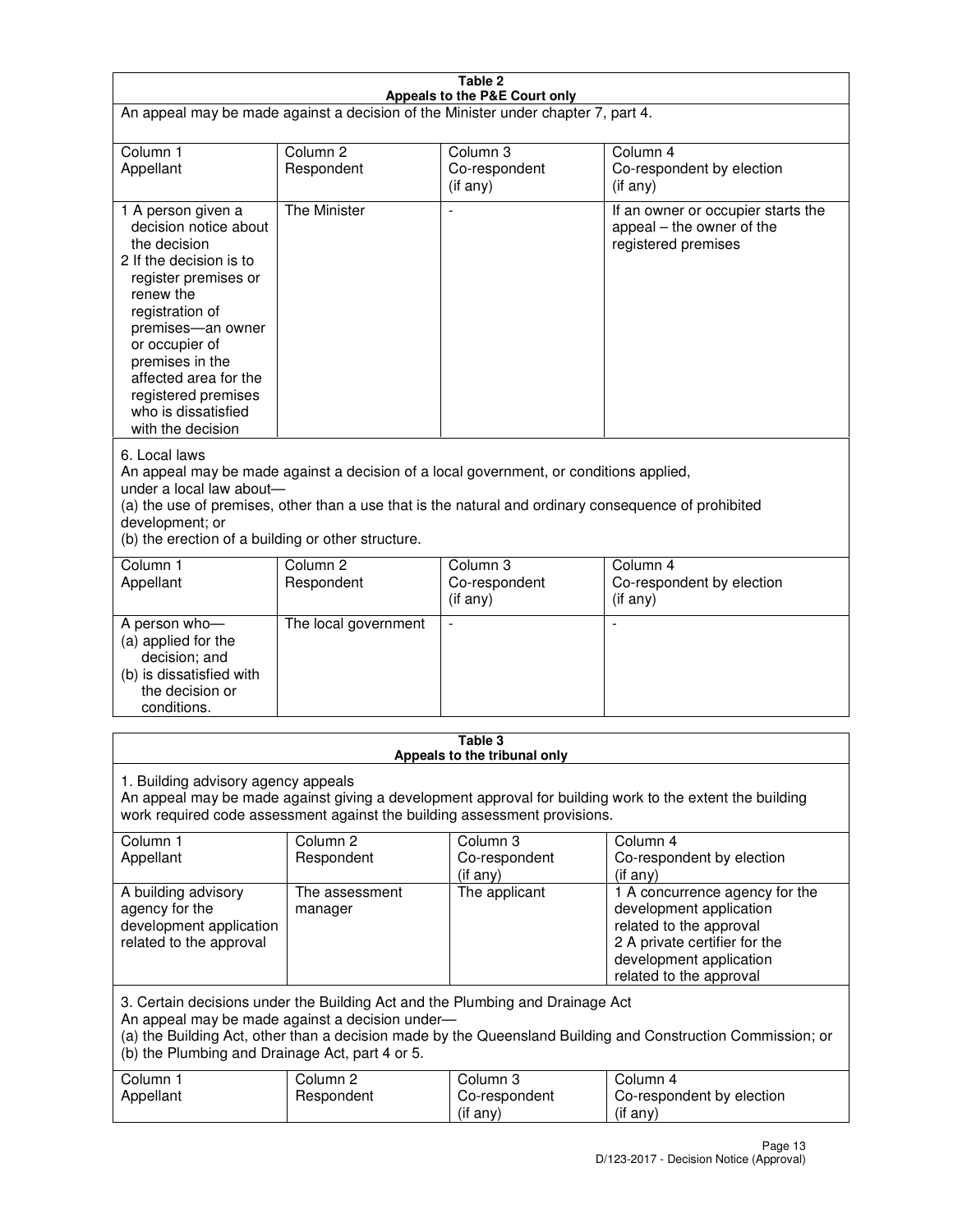| Table 2                                                                                                                                                                                                                                                                                                              |                                   |                                         |                                                                                                                                                                             |  |
|----------------------------------------------------------------------------------------------------------------------------------------------------------------------------------------------------------------------------------------------------------------------------------------------------------------------|-----------------------------------|-----------------------------------------|-----------------------------------------------------------------------------------------------------------------------------------------------------------------------------|--|
| Appeals to the P&E Court only<br>An appeal may be made against a decision of the Minister under chapter 7, part 4.                                                                                                                                                                                                   |                                   |                                         |                                                                                                                                                                             |  |
| Column 1                                                                                                                                                                                                                                                                                                             | Column <sub>2</sub>               | Column <sub>3</sub>                     | Column 4                                                                                                                                                                    |  |
| Appellant                                                                                                                                                                                                                                                                                                            | Respondent                        | Co-respondent<br>(if any)               | Co-respondent by election<br>(if any)                                                                                                                                       |  |
| 1 A person given a<br>decision notice about<br>the decision<br>2 If the decision is to<br>register premises or<br>renew the<br>registration of<br>premises-an owner<br>or occupier of<br>premises in the<br>affected area for the<br>registered premises<br>who is dissatisfied<br>with the decision                 | <b>The Minister</b>               | ÷,                                      | If an owner or occupier starts the<br>appeal – the owner of the<br>registered premises                                                                                      |  |
| 6. Local laws<br>An appeal may be made against a decision of a local government, or conditions applied,<br>under a local law about-<br>(a) the use of premises, other than a use that is the natural and ordinary consequence of prohibited<br>development; or<br>(b) the erection of a building or other structure. |                                   |                                         |                                                                                                                                                                             |  |
| Column 1<br>Appellant                                                                                                                                                                                                                                                                                                | Column 2<br>Respondent            | Column 3<br>Co-respondent<br>(if any)   | Column 4<br>Co-respondent by election<br>(if any)                                                                                                                           |  |
| A person who-<br>(a) applied for the<br>decision; and<br>(b) is dissatisfied with<br>the decision or<br>conditions.                                                                                                                                                                                                  | The local government              |                                         |                                                                                                                                                                             |  |
|                                                                                                                                                                                                                                                                                                                      |                                   | Table 3<br>Appeals to the tribunal only |                                                                                                                                                                             |  |
| 1. Building advisory agency appeals<br>An appeal may be made against giving a development approval for building work to the extent the building<br>work required code assessment against the building assessment provisions.                                                                                         |                                   |                                         |                                                                                                                                                                             |  |
| Column 1<br>Appellant                                                                                                                                                                                                                                                                                                | Column <sub>2</sub><br>Respondent | Column 3<br>Co-respondent<br>(if any)   | Column 4<br>Co-respondent by election<br>(if any)                                                                                                                           |  |
| A building advisory<br>agency for the<br>development application<br>related to the approval                                                                                                                                                                                                                          | The assessment<br>manager         | The applicant                           | 1 A concurrence agency for the<br>development application<br>related to the approval<br>2 A private certifier for the<br>development application<br>related to the approval |  |
| 3. Certain decisions under the Building Act and the Plumbing and Drainage Act<br>An appeal may be made against a decision under-<br>(a) the Building Act, other than a decision made by the Queensland Building and Construction Commission; or<br>(b) the Plumbing and Drainage Act, part 4 or 5.                   |                                   |                                         |                                                                                                                                                                             |  |
| Column 1<br>Appellant                                                                                                                                                                                                                                                                                                | Column <sub>2</sub><br>Respondent | Column 3<br>Co-respondent<br>(if any)   | Column 4<br>Co-respondent by election<br>(if any)                                                                                                                           |  |